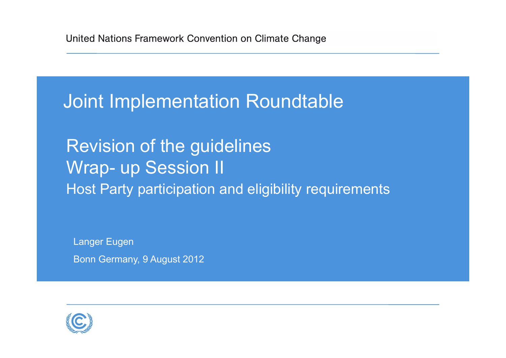Joint Implementation Roundtable

Revision of the guidelines Wrap- up Session II Host Party participation and eligibility requirements

Langer Eugen Bonn Germany, 9 August 2012

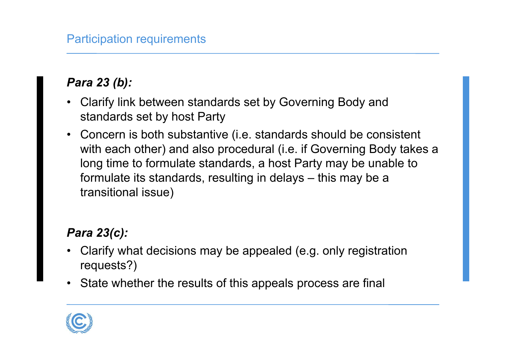# *Para 23 (b):*

- • Clarify link between standards set by Governing Body and standards set by host Party
- • Concern is both substantive (i.e. standards should be consistent with each other) and also procedural (i.e. if Governing Body takes a long time to formulate standards, a host Party may be unable to formulate its standards, resulting in delays – this may be a transitional issue)

# *Para 23(c):*

- • Clarify what decisions may be appealed (e.g. only registration requests?)
- State whether the results of this appeals process are final

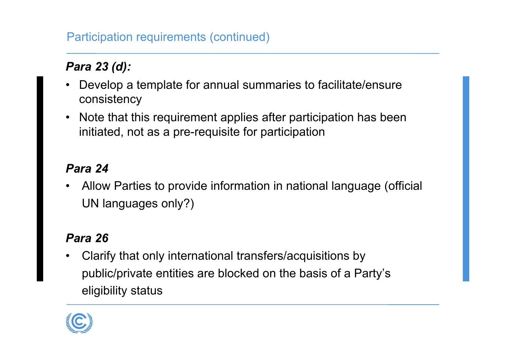### Participation requirements (continued)

# *Para 23 (d):*

- $\bullet$  Develop a template for annual summaries to facilitate/ensure consistency
- Note that this requirement applies after participation has been initiated, not as a pre-requisite for participation

### *Para 24*

• Allow Parties to provide information in national language (official UN languages only?)

### *Para 26*

• Clarify that only international transfers/acquisitions by public/private entities are blocked on the basis of a Party's eligibility status

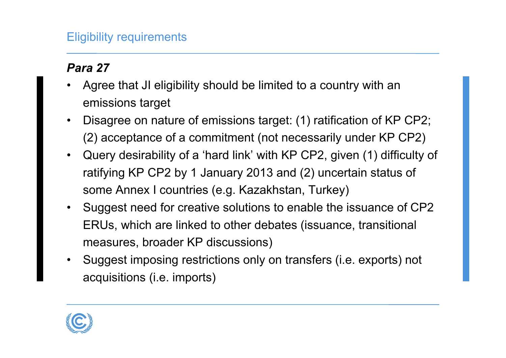### Eligibility requirements

### *Para 27*

- • Agree that JI eligibility should be limited to a country with an emissions target
- • Disagree on nature of emissions target: (1) ratification of KP CP2; (2) acceptance of a commitment (not necessarily under KP CP2)
- • Query desirability of a 'hard link' with KP CP2, given (1) difficulty of ratifying KP CP2 by 1 January 2013 and (2) uncertain status of some Annex I countries (e.g. Kazakhstan, Turkey)
- • Suggest need for creative solutions to enable the issuance of CP2 ERUs, which are linked to other debates (issuance, transitional measures, broader KP discussions)
- • Suggest imposing restrictions only on transfers (i.e. exports) not acquisitions (i.e. imports)